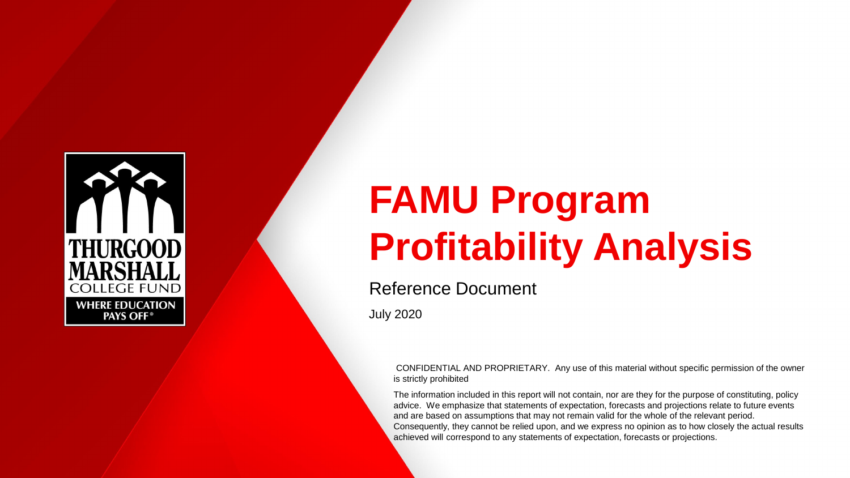

# **FAMU Program Profitability Analysis**

# Reference Document

July 2020

CONFIDENTIAL AND PROPRIETARY. Any use of this material without specific permission of the owner is strictly prohibited

The information included in this report will not contain, nor are they for the purpose of constituting, policy advice. We emphasize that statements of expectation, forecasts and projections relate to future events and are based on assumptions that may not remain valid for the whole of the relevant period. Consequently, they cannot be relied upon, and we express no opinion as to how closely the actual results achieved will correspond to any statements of expectation, forecasts or projections.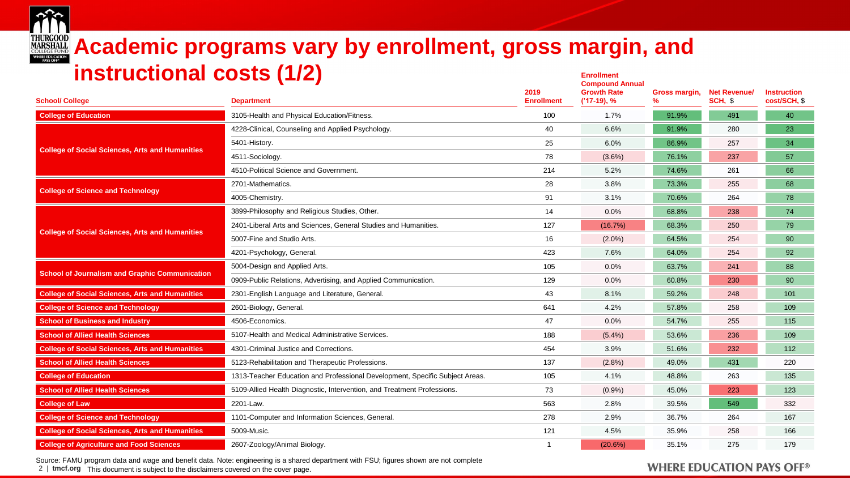

### **THURGOOD Academic programs vary by enrollment, gross margin, and instructional costs (1/2) Enrollment Compound Annual**

| <b>School/ College</b>                                 | <b>Department</b>                                                            | 2019<br><b>Enrollment</b> | Compound Annual<br><b>Growth Rate</b><br>$('17-19), %$ | Gross margin, | <b>Net Revenue/</b><br>SCH, \$ | <b>Instruction</b><br>cost/SCH, \$ |
|--------------------------------------------------------|------------------------------------------------------------------------------|---------------------------|--------------------------------------------------------|---------------|--------------------------------|------------------------------------|
| <b>College of Education</b>                            | 3105-Health and Physical Education/Fitness.                                  | 100                       | 1.7%                                                   | 91.9%         | 491                            | 40                                 |
|                                                        | 4228-Clinical, Counseling and Applied Psychology.                            | 40                        | 6.6%                                                   | 91.9%         | 280                            | 23                                 |
|                                                        | 5401-History.                                                                | 25                        | 6.0%                                                   | 86.9%         | 257                            | 34                                 |
| <b>College of Social Sciences, Arts and Humanities</b> | 4511-Sociology.                                                              | 78                        | $(3.6\%)$                                              | 76.1%         | 237                            | 57                                 |
|                                                        | 4510-Political Science and Government.                                       | 214                       | 5.2%                                                   | 74.6%         | 261                            | 66                                 |
| <b>College of Science and Technology</b>               | 2701-Mathematics.                                                            | 28                        | 3.8%                                                   | 73.3%         | 255                            | 68                                 |
|                                                        | 4005-Chemistry.                                                              | 91                        | 3.1%                                                   | 70.6%         | 264                            | 78                                 |
|                                                        | 3899-Philosophy and Religious Studies, Other.                                | 14                        | 0.0%                                                   | 68.8%         | 238                            | 74                                 |
| <b>College of Social Sciences, Arts and Humanities</b> | 2401-Liberal Arts and Sciences, General Studies and Humanities.              | 127                       | (16.7%)                                                | 68.3%         | 250                            | 79                                 |
|                                                        | 5007-Fine and Studio Arts.                                                   | 16                        | $(2.0\%)$                                              | 64.5%         | 254                            | 90                                 |
|                                                        | 4201-Psychology, General.                                                    | 423                       | 7.6%                                                   | 64.0%         | 254                            | 92                                 |
| <b>School of Journalism and Graphic Communication</b>  | 5004-Design and Applied Arts.                                                | 105                       | 0.0%                                                   | 63.7%         | 241                            | 88                                 |
|                                                        | 0909-Public Relations, Advertising, and Applied Communication.               | 129                       | 0.0%                                                   | 60.8%         | 230                            | 90                                 |
| <b>College of Social Sciences, Arts and Humanities</b> | 2301-English Language and Literature, General.                               | 43                        | 8.1%                                                   | 59.2%         | 248                            | 101                                |
| <b>College of Science and Technology</b>               | 2601-Biology, General.                                                       | 641                       | 4.2%                                                   | 57.8%         | 258                            | 109                                |
| <b>School of Business and Industry</b>                 | 4506-Economics.                                                              | 47                        | $0.0\%$                                                | 54.7%         | 255                            | 115                                |
| <b>School of Allied Health Sciences</b>                | 5107-Health and Medical Administrative Services.                             | 188                       | $(5.4\%)$                                              | 53.6%         | 236                            | 109                                |
| <b>College of Social Sciences, Arts and Humanities</b> | 4301-Criminal Justice and Corrections.                                       | 454                       | 3.9%                                                   | 51.6%         | 232                            | 112                                |
| <b>School of Allied Health Sciences</b>                | 5123-Rehabilitation and Therapeutic Professions.                             | 137                       | (2.8%)                                                 | 49.0%         | 431                            | 220                                |
| <b>College of Education</b>                            | 1313-Teacher Education and Professional Development, Specific Subject Areas. | 105                       | 4.1%                                                   | 48.8%         | 263                            | 135                                |
| <b>School of Allied Health Sciences</b>                | 5109-Allied Health Diagnostic, Intervention, and Treatment Professions.      | 73                        | $(0.9\%)$                                              | 45.0%         | 223                            | 123                                |
| <b>College of Law</b>                                  | 2201-Law.                                                                    | 563                       | 2.8%                                                   | 39.5%         | 549                            | 332                                |
| <b>College of Science and Technology</b>               | 1101-Computer and Information Sciences, General.                             | 278                       | 2.9%                                                   | 36.7%         | 264                            | 167                                |
| <b>College of Social Sciences, Arts and Humanities</b> | 5009-Music.                                                                  | 121                       | 4.5%                                                   | 35.9%         | 258                            | 166                                |
| <b>College of Agriculture and Food Sciences</b>        | 2607-Zoology/Animal Biology.                                                 |                           | (20.6%)                                                | 35.1%         | 275                            | 179                                |

Source: FAMU program data and wage and benefit data. Note: engineering is a shared department with FSU; figures shown are not complete

2 | **tmcf.org** This document is subject to the disclaimers covered on the cover page.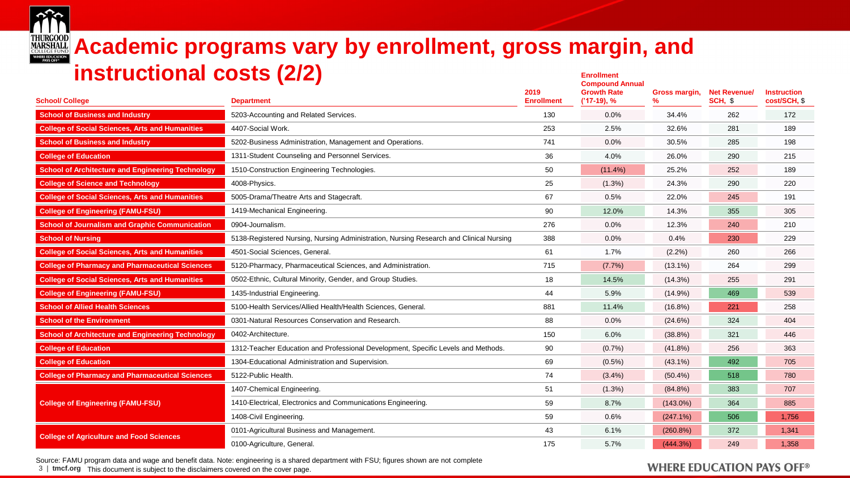

# **THURGOOD Academic programs vary by enrollment, gross margin, and instructional costs (2/2) Enrollment**

| <b>School/ College</b>                                   | $\blacksquare$<br><b>Department</b>                                                    | 2019<br><b>Enrollment</b> | <b>Compound Annual</b><br><b>Growth Rate</b><br>$('17-19), %$ | Gross margin,<br>$\%$ | <b>Net Revenuel</b><br>SCH, \$ | <b>Instruction</b><br>cost/SCH, \$ |
|----------------------------------------------------------|----------------------------------------------------------------------------------------|---------------------------|---------------------------------------------------------------|-----------------------|--------------------------------|------------------------------------|
| <b>School of Business and Industry</b>                   | 5203-Accounting and Related Services.                                                  | 130                       | 0.0%                                                          | 34.4%                 | 262                            | 172                                |
| <b>College of Social Sciences, Arts and Humanities</b>   | 4407-Social Work.                                                                      | 253                       | 2.5%                                                          | 32.6%                 | 281                            | 189                                |
| <b>School of Business and Industry</b>                   | 5202-Business Administration, Management and Operations.                               | 741                       | 0.0%                                                          | 30.5%                 | 285                            | 198                                |
| <b>College of Education</b>                              | 1311-Student Counseling and Personnel Services.                                        | 36                        | 4.0%                                                          | 26.0%                 | 290                            | 215                                |
| <b>School of Architecture and Engineering Technology</b> | 1510-Construction Engineering Technologies.                                            | 50                        | $(11.4\%)$                                                    | 25.2%                 | 252                            | 189                                |
| <b>College of Science and Technology</b>                 | 4008-Physics.                                                                          | 25                        | $(1.3\%)$                                                     | 24.3%                 | 290                            | 220                                |
| <b>College of Social Sciences, Arts and Humanities</b>   | 5005-Drama/Theatre Arts and Stagecraft.                                                | 67                        | 0.5%                                                          | 22.0%                 | 245                            | 191                                |
| <b>College of Engineering (FAMU-FSU)</b>                 | 1419-Mechanical Engineering.                                                           | 90                        | 12.0%                                                         | 14.3%                 | 355                            | 305                                |
| <b>School of Journalism and Graphic Communication</b>    | 0904-Journalism.                                                                       | 276                       | $0.0\%$                                                       | 12.3%                 | 240                            | 210                                |
| <b>School of Nursing</b>                                 | 5138-Registered Nursing, Nursing Administration, Nursing Research and Clinical Nursing | 388                       | 0.0%                                                          | 0.4%                  | 230                            | 229                                |
| <b>College of Social Sciences, Arts and Humanities</b>   | 4501-Social Sciences, General.                                                         | 61                        | 1.7%                                                          | (2.2%)                | 260                            | 266                                |
| <b>College of Pharmacy and Pharmaceutical Sciences</b>   | 5120-Pharmacy, Pharmaceutical Sciences, and Administration.                            | 715                       | (7.7%)                                                        | $(13.1\%)$            | 264                            | 299                                |
| <b>College of Social Sciences, Arts and Humanities</b>   | 0502-Ethnic, Cultural Minority, Gender, and Group Studies.                             | 18                        | 14.5%                                                         | (14.3%)               | 255                            | 291                                |
| <b>College of Engineering (FAMU-FSU)</b>                 | 1435-Industrial Engineering.                                                           | 44                        | 5.9%                                                          | (14.9%)               | 469                            | 539                                |
| <b>School of Allied Health Sciences</b>                  | 5100-Health Services/Allied Health/Health Sciences, General.                           | 881                       | 11.4%                                                         | $(16.8\%)$            | 221                            | 258                                |
| <b>School of the Environment</b>                         | 0301-Natural Resources Conservation and Research.                                      | 88                        | $0.0\%$                                                       | (24.6%)               | 324                            | 404                                |
| <b>School of Architecture and Engineering Technology</b> | 0402-Architecture.                                                                     | 150                       | 6.0%                                                          | $(38.8\%)$            | 321                            | 446                                |
| <b>College of Education</b>                              | 1312-Teacher Education and Professional Development, Specific Levels and Methods.      | 90                        | (0.7%                                                         | $(41.8\%)$            | 256                            | 363                                |
| <b>College of Education</b>                              | 1304-Educational Administration and Supervision.                                       | 69                        | $(0.5\%)$                                                     | $(43.1\%)$            | 492                            | 705                                |
| <b>College of Pharmacy and Pharmaceutical Sciences</b>   | 5122-Public Health.                                                                    | 74                        | (3.4%)                                                        | $(50.4\%)$            | 518                            | 780                                |
|                                                          | 1407-Chemical Engineering.                                                             | 51                        | $(1.3\%)$                                                     | $(84.8\%)$            | 383                            | 707                                |
| <b>College of Engineering (FAMU-FSU)</b>                 | 1410-Electrical, Electronics and Communications Engineering.                           | 59                        | 8.7%                                                          | $(143.0\%)$           | 364                            | 885                                |
|                                                          | 1408-Civil Engineering.                                                                | 59                        | 0.6%                                                          | (247.1%)              | 506                            | 1,756                              |
| <b>College of Agriculture and Food Sciences</b>          | 0101-Agricultural Business and Management.                                             | 43                        | 6.1%                                                          | (260.8%)              | 372                            | 1.341                              |
|                                                          | 0100-Agriculture, General.                                                             | 175                       | 5.7%                                                          | (444.3%)              | 249                            | 1,358                              |

Source: FAMU program data and wage and benefit data. Note: engineering is a shared department with FSU; figures shown are not complete

3 | **tmcf.org** This document is subject to the disclaimers covered on the cover page.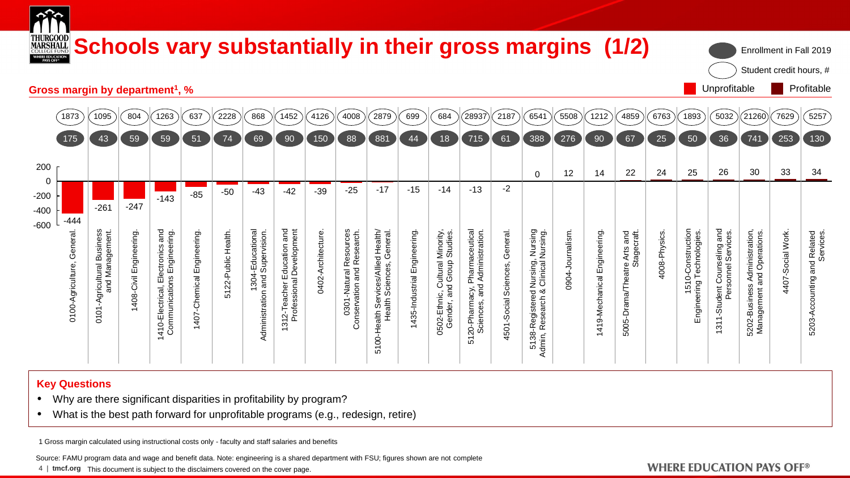

#### **Key Questions**

- Why are there significant disparities in profitability by program?
- What is the best path forward for unprofitable programs (e.g., redesign, retire)

1 Gross margin calculated using instructional costs only - faculty and staff salaries and benefits

Source: FAMU program data and wage and benefit data. Note: engineering is a shared department with FSU; figures shown are not complete

4 | **tmcf.org** This document is subject to the disclaimers covered on the cover page.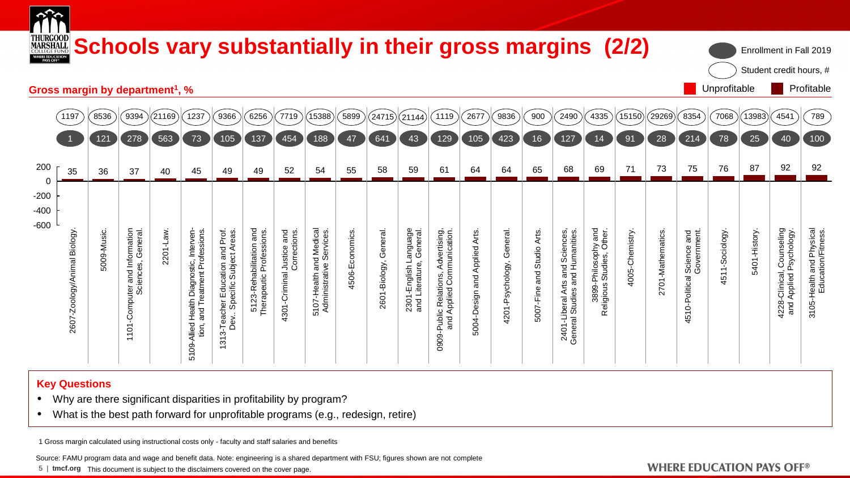| THURGOOD<br>MARSHALL<br>COLLEGE FUND<br>WHERE EDUCATION |                                             |                                                    |           |                                                            |                                                                |                                                     | Schools vary substantially in their gross margins (2/2) |                                     |                |               |                         |                                                                   |                              |                           |               |                                                                   |                                          |                |                  |                                          |                |              | Enrollment in Fall 2019<br>Student credit hours, #   |                                                |
|---------------------------------------------------------|---------------------------------------------|----------------------------------------------------|-----------|------------------------------------------------------------|----------------------------------------------------------------|-----------------------------------------------------|---------------------------------------------------------|-------------------------------------|----------------|---------------|-------------------------|-------------------------------------------------------------------|------------------------------|---------------------------|---------------|-------------------------------------------------------------------|------------------------------------------|----------------|------------------|------------------------------------------|----------------|--------------|------------------------------------------------------|------------------------------------------------|
|                                                         | Gross margin by department <sup>1</sup> , % |                                                    |           |                                                            |                                                                |                                                     |                                                         |                                     |                |               |                         |                                                                   |                              |                           |               |                                                                   |                                          |                |                  |                                          | Unprofitable   |              |                                                      | Profitable                                     |
| 1197                                                    | 8536                                        | 9394                                               | 21169)    | 1237                                                       | 9366                                                           | 6256                                                | 7719                                                    | 15388                               | 5899           | (24715)       | (21144)                 | 1119                                                              | 2677                         | 9836                      | 900           | 2490                                                              | 4335                                     | (15150)        | (29269)          | 8354                                     | 7068           | (13983)      | 4541                                                 | 789                                            |
|                                                         | 121                                         | 278                                                | 563       | 73                                                         | 105                                                            | 137                                                 | 454                                                     | 188                                 | 47             | 641           | 43                      | 129                                                               | 105                          | 423                       | 16            | 127                                                               | 14                                       | 91             | 28               | 214                                      | 78             | 25           | 40                                                   |                                                |
| 35                                                      | 36                                          | 37                                                 | 40        | 45                                                         | 49                                                             | 49                                                  | 52                                                      | 54                                  | 55             | 58            | 59                      | 61                                                                | 64                           | 64                        | 65            | 68                                                                | 69                                       | 71             | 73               | 75                                       | 76             | 87           | 92                                                   |                                                |
|                                                         |                                             |                                                    |           |                                                            |                                                                |                                                     |                                                         |                                     |                |               |                         |                                                                   |                              |                           |               |                                                                   |                                          |                |                  |                                          |                |              |                                                      |                                                |
|                                                         |                                             |                                                    |           |                                                            |                                                                |                                                     |                                                         |                                     |                |               |                         |                                                                   |                              |                           |               |                                                                   |                                          |                |                  |                                          |                |              |                                                      | 3105-Health and Physical<br>Education/Fitness. |
| 2607-Zoology/Animal Biology                             | 5009-Music.                                 | 101-Computer and Information<br>Sciences, General. | 2201-Law. | Health Diagnostic, Interven-<br>and Treatment Professions. |                                                                | 5123-Rehabilitation and<br>Therapeutic Professions. | 4301-Criminal Justice and<br>Corrections                | and Medical<br>iive Services.       | 4506-Economics | General.      | Language<br>e, General. |                                                                   | 5004-Design and Applied Arts | 4201-Psychology, General. | Studio Arts   |                                                                   | hy and<br>Other.                         | 4005-Chemistry | 2701-Mathematics | 4510-Political Science and<br>Government | 4511-Sociology | 5401-History | 4228-Clinical, Counseling<br>and Applied Psychology. |                                                |
|                                                         |                                             |                                                    |           |                                                            |                                                                |                                                     |                                                         | 5107-Health and<br>Administrative S |                | 2601-Biology, | 2301-English La         |                                                                   |                              |                           |               |                                                                   | 3899-Philosophy<br>Religious Studies, Ot |                |                  |                                          |                |              |                                                      |                                                |
|                                                         |                                             |                                                    |           |                                                            |                                                                |                                                     |                                                         |                                     |                |               |                         |                                                                   |                              |                           | 5007-Fine and |                                                                   |                                          |                |                  |                                          |                |              |                                                      |                                                |
|                                                         |                                             | $\overline{\phantom{0}}$                           |           | 5109-Allied Health<br>tion,                                | 313-Teacher Education and Prof.<br>Dev Specific Subject Areas. |                                                     |                                                         |                                     |                |               |                         | 0909-Public Relations, Advertising,<br>and Applied Communication. |                              |                           |               | 2401-Liberal Arts and Sciences,<br>General Studies and Humanities |                                          |                |                  |                                          |                |              |                                                      |                                                |

#### **Key Questions**

- Why are there significant disparities in profitability by program?
- What is the best path forward for unprofitable programs (e.g., redesign, retire)

1 Gross margin calculated using instructional costs only - faculty and staff salaries and benefits

Source: FAMU program data and wage and benefit data. Note: engineering is a shared department with FSU; figures shown are not complete

5 | **tmcf.org** This document is subject to the disclaimers covered on the cover page.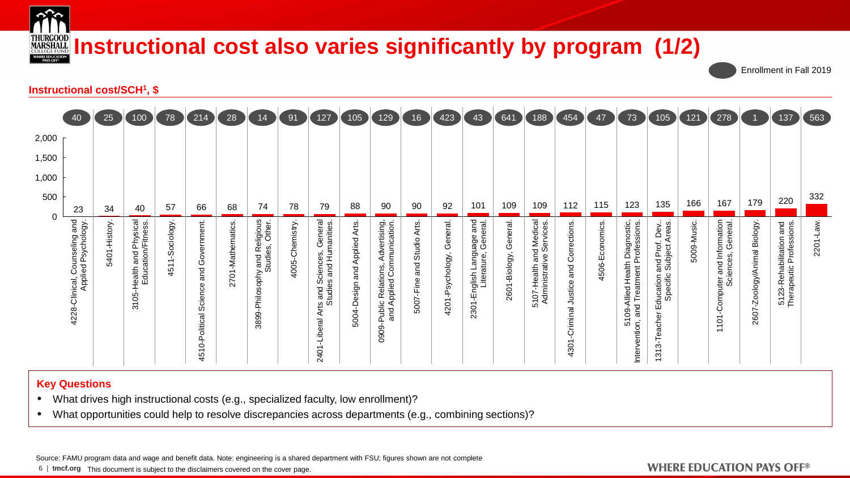

# **INDECCOOD INSTRUCTIONAL COST also varies significantly by program (1/2)**

Enrollment in Fall 2019

#### **Instructional cost/SCH<sup>1</sup> , \$**

|       | 40                                                   | 25           | 100                                                | 78                 | 214                                                                                                   | 28                          | 14                                                                   | 91             | 127                                                                       | 105                             | 129                                                             | 16                                  | 423                                     | 43                                                    | 641                      | 188                                                 | 454                                                | 47             | 73                                                                               | 105)                                                                                                       | 121        | (278)                                                                           |                             | 137)                                               | (563)    |
|-------|------------------------------------------------------|--------------|----------------------------------------------------|--------------------|-------------------------------------------------------------------------------------------------------|-----------------------------|----------------------------------------------------------------------|----------------|---------------------------------------------------------------------------|---------------------------------|-----------------------------------------------------------------|-------------------------------------|-----------------------------------------|-------------------------------------------------------|--------------------------|-----------------------------------------------------|----------------------------------------------------|----------------|----------------------------------------------------------------------------------|------------------------------------------------------------------------------------------------------------|------------|---------------------------------------------------------------------------------|-----------------------------|----------------------------------------------------|----------|
| 2,000 |                                                      |              |                                                    |                    |                                                                                                       |                             |                                                                      |                |                                                                           |                                 |                                                                 |                                     |                                         |                                                       |                          |                                                     |                                                    |                |                                                                                  |                                                                                                            |            |                                                                                 |                             |                                                    |          |
| 1,500 |                                                      |              |                                                    |                    |                                                                                                       |                             |                                                                      |                |                                                                           |                                 |                                                                 |                                     |                                         |                                                       |                          |                                                     |                                                    |                |                                                                                  |                                                                                                            |            |                                                                                 |                             |                                                    |          |
| 1,000 |                                                      |              |                                                    |                    |                                                                                                       |                             |                                                                      |                |                                                                           |                                 |                                                                 |                                     |                                         |                                                       |                          |                                                     |                                                    |                |                                                                                  |                                                                                                            |            |                                                                                 |                             |                                                    |          |
| 500   | 23                                                   | 34           | 40                                                 | 57                 | 66                                                                                                    | 68                          | 74                                                                   | 78             | 79                                                                        | 88                              | 90                                                              | 90                                  | 92                                      | 101                                                   | 109                      | 109                                                 | 112                                                | 115            | 123                                                                              | 135                                                                                                        | 166        | 167                                                                             | 179                         | 220                                                | 332      |
|       | 4228-Clinical, Counseling and<br>Applied Psychology. | 5401-History | -Health and Physical<br>Education/Fitness.<br>3105 | -Sociology<br>4511 | Government<br>and<br>Science<br>olitical<br>௳<br>$\blacksquare$<br>Ó<br>$\overline{\phantom{0}}$<br>Ю | 701-Mathematics<br>$\alpha$ | Religious<br>ies, Other.<br>y and Rel<br>Studies,<br>3899-Philosophy | 4005-Chemistry | Arts and Sciences, General<br>Studies and Humanities.<br>-Liberal<br>2401 | and Applied Arts<br>5004-Design | 0909-Public Relations, Advertising<br>and Applied Communication | Arts.<br>Studio<br>and<br>5007-Fine | eneral.<br>O<br>sychology,<br>ې<br>4201 | -English Language and<br>Literature, General.<br>2301 | General.<br>2601-Biology | 5107-Health and Medical<br>Administrative Services. | Corrections<br>and<br>Justice<br>-Criminal<br>4301 | 4506-Economics | 5109-Allied Health Diagnostic,<br>n, and Treatment Professions.<br>Intervention, | : Dev<br>Areas.<br>and Prof.<br>Subject.<br>Specific<br>Education<br>Teacher<br>က်<br>57<br>$\overline{ }$ | 5009-Music | ter and Information<br>Sciences, General.<br>-Computer<br>101<br>$\overline{ }$ | 2607-Zoology/Animal Biology | 5123-Rehabilitation and<br>Therapeutic Professions | 2201-Law |

#### **Key Questions**

- What drives high instructional costs (e.g., specialized faculty, low enrollment)?
- What opportunities could help to resolve discrepancies across departments (e.g., combining sections)?

Source: FAMU program data and wage and benefit data. Note: engineering is a shared department with FSU; figures shown are not complete

6 | **tmcf.org** This document is subject to the disclaimers covered on the cover page.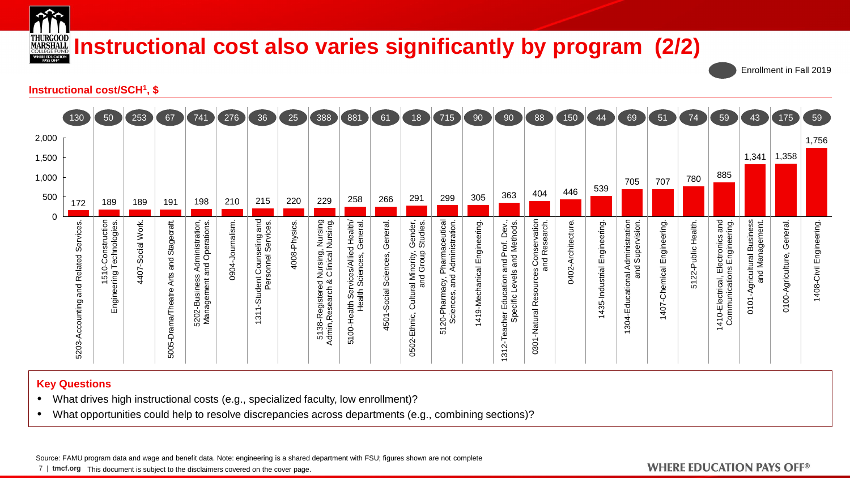

# **INDECCOOD INSTRUCTIONAL COST ALSO varies significantly by program (2/2)**

Enrollment in Fall 2019

#### **Instructional cost/SCH<sup>1</sup> , \$**



#### **Key Questions**

- What drives high instructional costs (e.g., specialized faculty, low enrollment)?
- What opportunities could help to resolve discrepancies across departments (e.g., combining sections)?

Source: FAMU program data and wage and benefit data. Note: engineering is a shared department with FSU; figures shown are not complete

7 | **tmcf.org** This document is subject to the disclaimers covered on the cover page.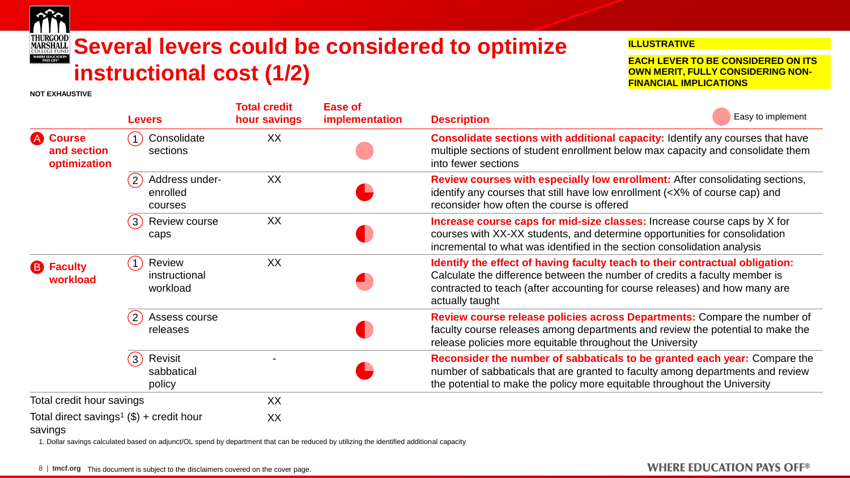

**NOT EXHAUSTIVE**

# **Several levers could be considered to optimize MARSHALL instructional cost (1/2)**

#### **ILLUSTRATIVE**

**EACH LEVER TO BE CONSIDERED ON ITS OWN MERIT, FULLY CONSIDERING NON-FINANCIAL IMPLICATIONS**

|                                         | <b>Levers</b>                                         | <b>Total credit</b><br>hour savings | <b>Ease of</b><br>implementation | Easy to implement<br><b>Description</b>                                                                                                                                                                                                                      |
|-----------------------------------------|-------------------------------------------------------|-------------------------------------|----------------------------------|--------------------------------------------------------------------------------------------------------------------------------------------------------------------------------------------------------------------------------------------------------------|
| A Course<br>and section<br>optimization | Consolidate<br>sections                               | XX                                  |                                  | <b>Consolidate sections with additional capacity:</b> Identify any courses that have<br>multiple sections of student enrollment below max capacity and consolidate them<br>into fewer sections                                                               |
|                                         | (2)<br>Address under-<br>enrolled<br>courses          | XX                                  |                                  | Review courses with especially low enrollment: After consolidating sections,<br>identify any courses that still have low enrollment ( <x% and<br="" cap)="" course="" of="">reconsider how often the course is offered</x%>                                  |
|                                         | (3)<br>Review course<br>caps                          | XX                                  |                                  | <b>Increase course caps for mid-size classes:</b> Increase course caps by X for<br>courses with XX-XX students, and determine opportunities for consolidation<br>incremental to what was identified in the section consolidation analysis                    |
| <b>B</b> Faculty<br>workload            | Review<br>$\overline{1}$<br>instructional<br>workload | XX                                  |                                  | Identify the effect of having faculty teach to their contractual obligation:<br>Calculate the difference between the number of credits a faculty member is<br>contracted to teach (after accounting for course releases) and how many are<br>actually taught |
|                                         | $\overline{2}$<br>Assess course<br>releases           |                                     |                                  | Review course release policies across Departments: Compare the number of<br>faculty course releases among departments and review the potential to make the<br>release policies more equitable throughout the University                                      |
|                                         | (3)<br>Revisit<br>sabbatical<br>policy                |                                     |                                  | Reconsider the number of sabbaticals to be granted each year: Compare the<br>number of sabbaticals that are granted to faculty among departments and review<br>the potential to make the policy more equitable throughout the University                     |
| Total credit hour savings               |                                                       | <b>XX</b>                           |                                  |                                                                                                                                                                                                                                                              |
| savings                                 | Total direct savings <sup>1</sup> (\$) + credit hour  | XX                                  |                                  |                                                                                                                                                                                                                                                              |

1. Dollar savings calculated based on adjunct/OL spend by department that can be reduced by utilizing the identified additional capacity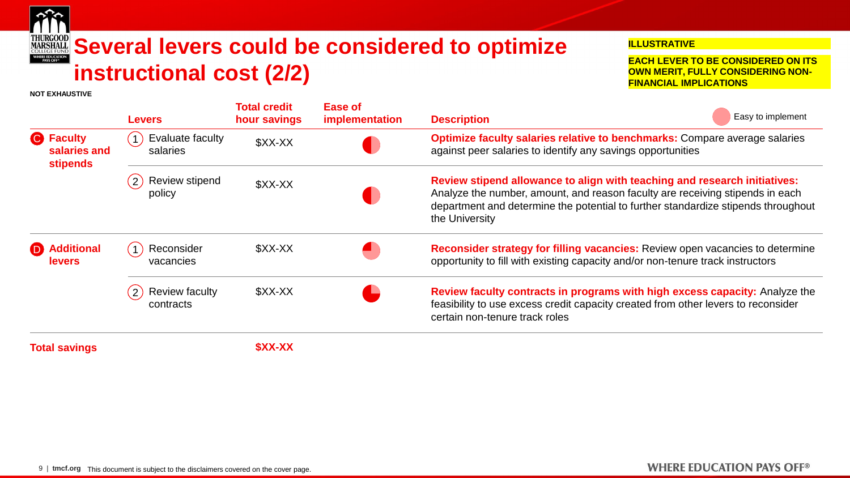

**NOT EXHAUSTIVE**

# **Several levers could be considered to optimize MARSHALL instructional cost (2/2)**

#### **ILLUSTRATIVE**

**EACH LEVER TO BE CONSIDERED ON ITS OWN MERIT, FULLY CONSIDERING NON-FINANCIAL IMPLICATIONS**

|                                                     | <b>Levers</b>                                        | <b>Total credit</b><br>hour savings | Ease of<br>implementation | Easy to implement<br><b>Description</b>                                                                                                                                                                                                                           |
|-----------------------------------------------------|------------------------------------------------------|-------------------------------------|---------------------------|-------------------------------------------------------------------------------------------------------------------------------------------------------------------------------------------------------------------------------------------------------------------|
| <b>C</b> Faculty<br>salaries and<br><b>stipends</b> | Evaluate faculty<br>$\mathbf{1}$<br>salaries         | \$XX-XX                             |                           | Optimize faculty salaries relative to benchmarks: Compare average salaries<br>against peer salaries to identify any savings opportunities                                                                                                                         |
|                                                     | Review stipend<br>(2)<br>policy                      | \$XX-XX                             |                           | Review stipend allowance to align with teaching and research initiatives:<br>Analyze the number, amount, and reason faculty are receiving stipends in each<br>department and determine the potential to further standardize stipends throughout<br>the University |
| <b>Additional</b><br><b>levers</b>                  | Reconsider<br>$\mathbf{1}$<br>vacancies              | \$XX-XX                             |                           | Reconsider strategy for filling vacancies: Review open vacancies to determine<br>opportunity to fill with existing capacity and/or non-tenure track instructors                                                                                                   |
|                                                     | <b>Review faculty</b><br>$\overline{2}$<br>contracts | \$XX-XX                             |                           | Review faculty contracts in programs with high excess capacity: Analyze the<br>feasibility to use excess credit capacity created from other levers to reconsider<br>certain non-tenure track roles                                                                |
| <b>Total savings</b>                                |                                                      | \$XX-XX                             |                           |                                                                                                                                                                                                                                                                   |